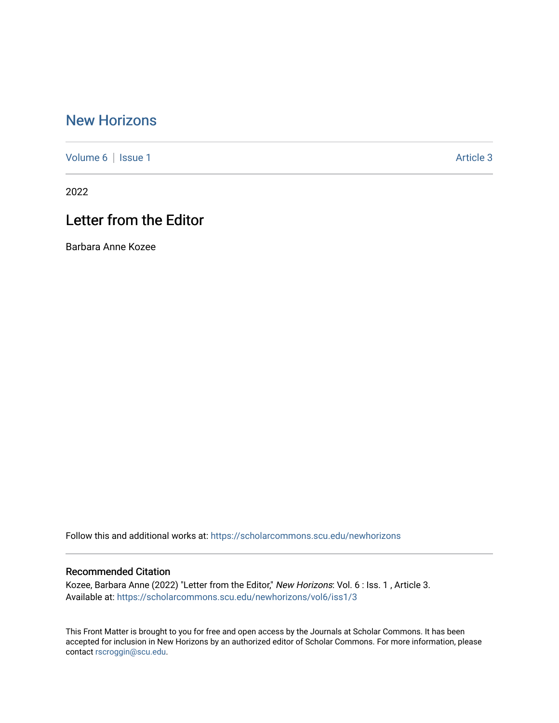## [New Horizons](https://scholarcommons.scu.edu/newhorizons)

[Volume 6](https://scholarcommons.scu.edu/newhorizons/vol6) | [Issue 1](https://scholarcommons.scu.edu/newhorizons/vol6/iss1) Article 3

2022

## Letter from the Editor

Barbara Anne Kozee

Follow this and additional works at: [https://scholarcommons.scu.edu/newhorizons](https://scholarcommons.scu.edu/newhorizons?utm_source=scholarcommons.scu.edu%2Fnewhorizons%2Fvol6%2Fiss1%2F3&utm_medium=PDF&utm_campaign=PDFCoverPages)

#### Recommended Citation

Kozee, Barbara Anne (2022) "Letter from the Editor," New Horizons: Vol. 6 : Iss. 1 , Article 3. Available at: [https://scholarcommons.scu.edu/newhorizons/vol6/iss1/3](https://scholarcommons.scu.edu/newhorizons/vol6/iss1/3?utm_source=scholarcommons.scu.edu%2Fnewhorizons%2Fvol6%2Fiss1%2F3&utm_medium=PDF&utm_campaign=PDFCoverPages)

This Front Matter is brought to you for free and open access by the Journals at Scholar Commons. It has been accepted for inclusion in New Horizons by an authorized editor of Scholar Commons. For more information, please contact [rscroggin@scu.edu.](mailto:rscroggin@scu.edu)